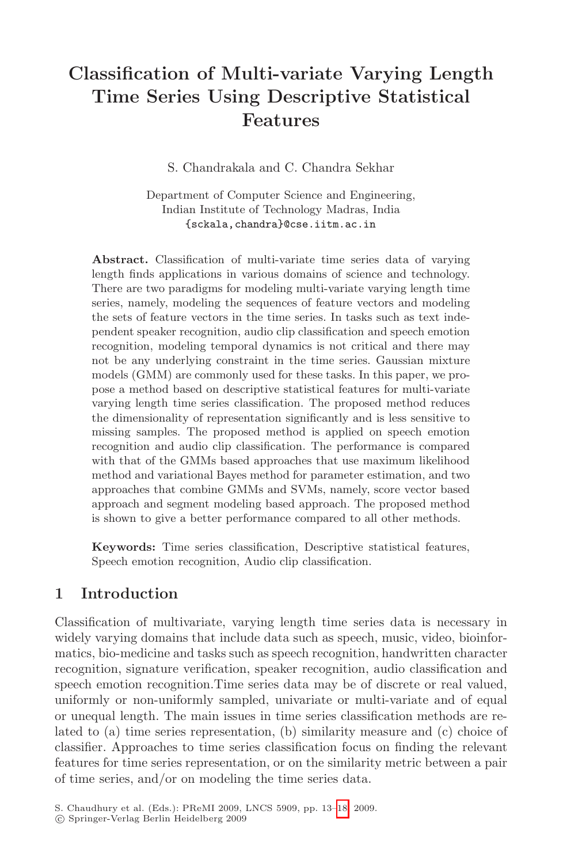# **Classification of Multi-variate Varying Length Time Series Using Descriptive Statistical Features**

S. Chandrakala and C. Chandra Sekhar

Department of Computer Science and Engineering, Indian Institute of Technology Madras, India {sckala,chandra}@cse.iitm.ac.in

**Abstract.** Classification of multi-variate time series data of varying length finds applications in various domains of science and technology. There are two paradigms for modeling multi-variate varying length time series, namely, modeling the sequences of feature vectors and modeling the sets of feature vectors in the time series. In tasks such as text independent speaker recognition, audio clip classification and speech emotion recognition, modeling temporal dynamics is not critical and there may not be any underlying constraint in the time series. Gaussian mixture models (GMM) are commonly used for these tasks. In this paper, we propose a method based on descriptive statistical features for multi-variate varying length time series classification. The proposed method reduces the dimensionality of representation significantly and is less sensitive to missing samples. The proposed method is applied on speech emotion recognition and audio clip classification. The performance is compared with that of the GMMs based approaches that use maximum likelihood method and variational Bayes method for parameter estimation, and two approaches that combine GMMs and SVMs, namely, score vector based approach and segment modeling based approach. The proposed method is shown to give a better performance compared to all other methods.

**Keywords:** Time series classification, Descriptive statistical features, Speech emotion recognition, Audio clip classification.

### **1 Introduction**

Classification of multivariate, varying length time series data is necessary in widely varying domains that include data such as speech, music, video, bioinformatics, bio-medicine and tasks such as speech recognition, handwritten character recognition, signature verification, speaker recognition, audio classification and speech emotion recognition.Ti[me](#page-5-0) series data may be of discrete or real valued, uniformly or non-uniformly sampled, univariate or multi-variate and of equal or unequal length. The main issues in time series classification methods are related to (a) time series representation, (b) similarity measure and (c) choice of classifier. Approaches to time series classification focus on finding the relevant features for time series representation, or on the similarity metric between a pair of time series, and/or on modeling the time series data.

S. Chaudhury et al. (Eds.): PReMI 2009, LNCS 5909, pp. 13–18, 2009.

<sup>-</sup>c Springer-Verlag Berlin Heidelberg 2009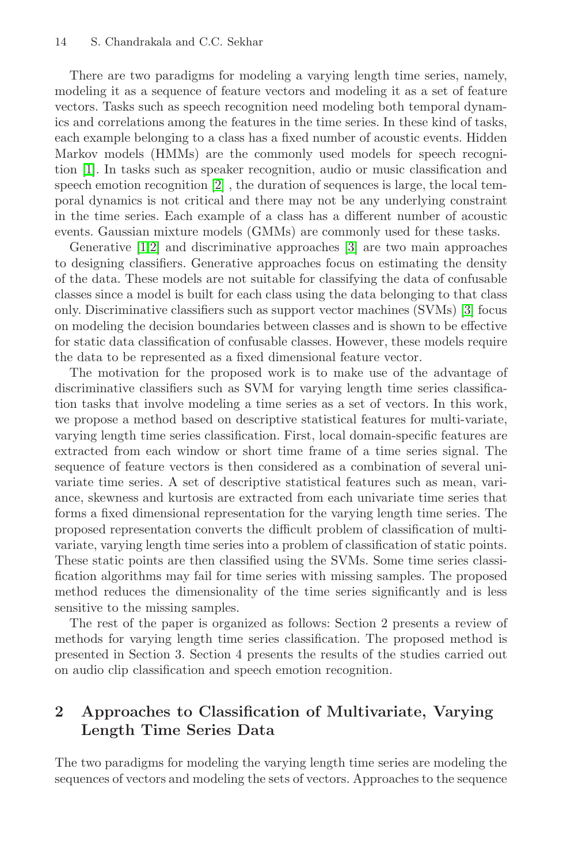#### 14 S. Chandrakala and C.C. Sekhar

There [ar](#page-5-1)e two paradigms for modeling a varying length time series, namely, modeling it as a sequence of feature vectors and modeling it as a set of feature vectors. Tasks such as speech recognition need modeling both temporal dynamics and correlations among the f[eat](#page-5-2)ures in the time series. In these kind of tasks, each example belonging to a class has a fixed number of acoustic events. Hidden Markov models (HMMs) are the commonly used models for speech recognition [1]. In tasks such as speaker recognition, audio or music classification and speech emotion recognition [2] , the duration of seque[nc](#page-5-2)es is large, the local temporal dynamics is not critical and there may not be any underlying constraint in the time series. Each example of a class has a different number of acoustic events. Gaussian mixture models (GMMs) are commonly used for these tasks.

Generative [1,2] and discriminative approaches [3] are two main approaches to designing classifiers. Generative approaches focus on estimating the density of the data. These models are not suitable for classifying the data of confusable classes since a model is built for each class using the data belonging to that class only. Discriminative classifiers such as support vector machines (SVMs) [3] focus on modeling the decision boundaries between classes and is shown to be effective for static data classification of confusable classes. However, these models require the data to be represented as a fixed dimensional feature vector.

The motivation for the proposed work is to make use of the advantage of discriminative classifiers such as SVM for varying length time series classification tasks that involve modeling a time series as a set of vectors. In this work, we propose a method based on descriptive statistical features for multi-variate, varying length time series classification. First, local domain-specific features are extracted from each window or short time frame of a time series signal. The sequence of feature vectors is then considered as a combination of several univariate time series. A set of descriptive statistical features such as mean, variance, skewness and kurtosis are extracted from each univariate time series that forms a fixed dimensional representation for the varying length time series. The proposed representation converts the difficult problem of classification of multivariate, varying length time series into a problem of classification of static points. These static points are then classified using the SVMs. Some time series classification algorithms may fail for time series with missing samples. The proposed method reduces the dimensionality of the time series significantly and is less sensitive to the missing samples.

The rest of the paper is organized as follows: Section 2 presents a review of methods for varying length time series classification. The proposed method is presented in Section 3. Section 4 presents the results of the studies carried out on audio clip classification and speech emotion recognition.

## **2 Approaches to Classification of Multivariate, Varying Length Time Series Data**

The two paradigms for modeling the varying length time series are modeling the sequences of vectors and modeling the sets of vectors. Approaches to the sequence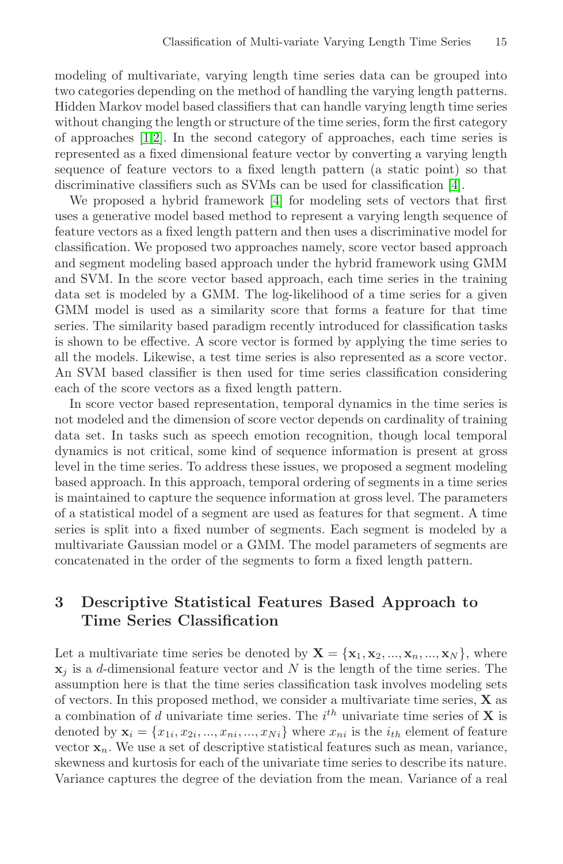modeling of multi[var](#page-5-3)iate, varying length time ser[ies](#page-5-3) data can be grouped into two categories depending on the method of handling the varying length patterns. Hidden Markov model based classifiers that can handle varying length time series without changing the length or structure of the time series, form the first category of approaches [1,2]. In the second category of approaches, each time series is represented as a fixed dimensional feature vector by converting a varying length sequence of feature vectors to a fixed length pattern (a static point) so that discriminative classifiers such as SVMs can be used for classification [4].

We proposed a hybrid framework [4] for modeling sets of vectors that first uses a generative model based method to represent a varying length sequence of feature vectors as a fixed length pattern and then uses a discriminative model for classification. We proposed two approaches namely, score vector based approach and segment modeling based approach under the hybrid framework using GMM and SVM. In the score vector based approach, each time series in the training data set is modeled by a GMM. The log-likelihood of a time series for a given GMM model is used as a similarity score that forms a feature for that time series. The similarity based paradigm recently introduced for classification tasks is shown to be effective. A score vector is formed by applying the time series to all the models. Likewise, a test time series is also represented as a score vector. An SVM based classifier is then used for time series classification considering each of the score vectors as a fixed length pattern.

In score vector based representation, temporal dynamics in the time series is not modeled and the dimension of score vector depends on cardinality of training data set. In tasks such as speech emotion recognition, though local temporal dynamics is not critical, some kind of sequence information is present at gross level in the time series. To address these issues, we proposed a segment modeling based approach. In this approach, temporal ordering of segments in a time series is maintained to capture the sequence information at gross level. The parameters of a statistical model of a segment are used as features for that segment. A time series is split into a fixed number of segments. Each segment is modeled by a multivariate Gaussian model or a GMM. The model parameters of segments are concatenated in the order of the segments to form a fixed length pattern.

#### **3 Descriptive Statistical Features Based Approach to Time Series Classification**

Let a multivariate time series be denoted by  $\mathbf{X} = {\mathbf{x}_1, \mathbf{x}_2, ..., \mathbf{x}_n, ..., \mathbf{x}_N}$ , where  $x_i$  is a d-dimensional feature vector and N is the length of the time series. The assumption here is that the time series classification task involves modeling sets of vectors. In this proposed method, we consider a multivariate time series, **X** as a combination of d univariate time series. The i *th* univariate time series of **X** is denoted by  $\mathbf{x}_i = \{x_{1i}, x_{2i}, ..., x_{ni}, ..., x_{Ni}\}$  where  $x_{ni}$  is the  $i_{th}$  element of feature vector  $\mathbf{x}_n$ . We use a set of descriptive statistical features such as mean, variance, skewness and kurtosis for each of the univariate time series to describe its nature. Variance captures the degree of the deviation from the mean. Variance of a real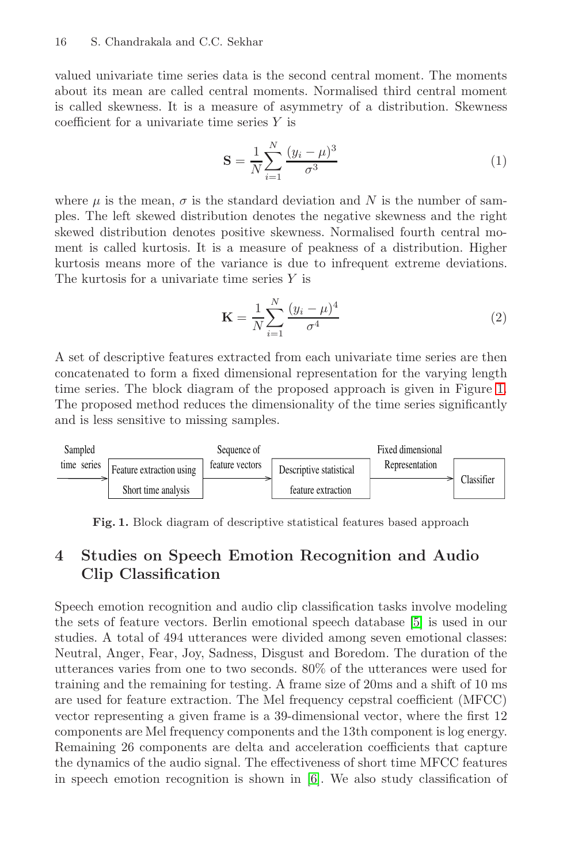#### 16 S. Chandrakala and C.C. Sekhar

valued univariate time series data is the second central moment. The moments about its mean are called central moments. Normalised third central moment is called skewness. It is a measure of asymmetry of a distribution. Skewness coefficient for a univariate time series Y is

$$
\mathbf{S} = \frac{1}{N} \sum_{i=1}^{N} \frac{(y_i - \mu)^3}{\sigma^3} \tag{1}
$$

where  $\mu$  is the mean,  $\sigma$  is the standard deviation and N is the number of samples. The left skewed distribution denotes the negative skewness and the right skewed distribution denotes positive skewness. Normalised fourth central moment is called kurtosis. It is a measure of peakness of a distribution. Higher kurtosis means more of the variance is due to infrequen[t e](#page-3-0)xtreme deviations. The kurtosis for a univariate time series  $Y$  is

$$
\mathbf{K} = \frac{1}{N} \sum_{i=1}^{N} \frac{(y_i - \mu)^4}{\sigma^4}
$$
 (2)

A set of descriptive features extracted from each univariate time series are then concatenated to form a fixed dimensional representation for the varying length time series. The block diagram of the proposed approach is given in Figure 1. The proposed method reduces the dimensionality of the time series significantly and is less sensitive to missing samples.

<span id="page-3-0"></span>

**Fig. 1.** Block diagram of descriptive statistical features based approach

## **4 Studies on Speech Emotion Recognition and Audio Clip Classification**

Speech emotion recognition and audio clip classification tasks involve modeling the sets of feature vectors. Berlin emotional speech database [5] is used in our studies. A total of 494 utterances were divided among seven emotional classes: Neutral, Anger, Fear, Jo[y, S](#page-5-4)adness, Disgust and Boredom. The duration of the utterances varies from one to two seconds. 80% of the utterances were used for training and the remaining for testing. A frame size of 20ms and a shift of 10 ms are used for feature extraction. The Mel frequency cepstral coefficient (MFCC) vector representing a given frame is a 39-dimensional vector, where the first 12 components are Mel frequency components and the 13th component is log energy. Remaining 26 components are delta and acceleration coefficients that capture the dynamics of the audio signal. The effectiveness of short time MFCC features in speech emotion recognition is shown in [6]. We also study classification of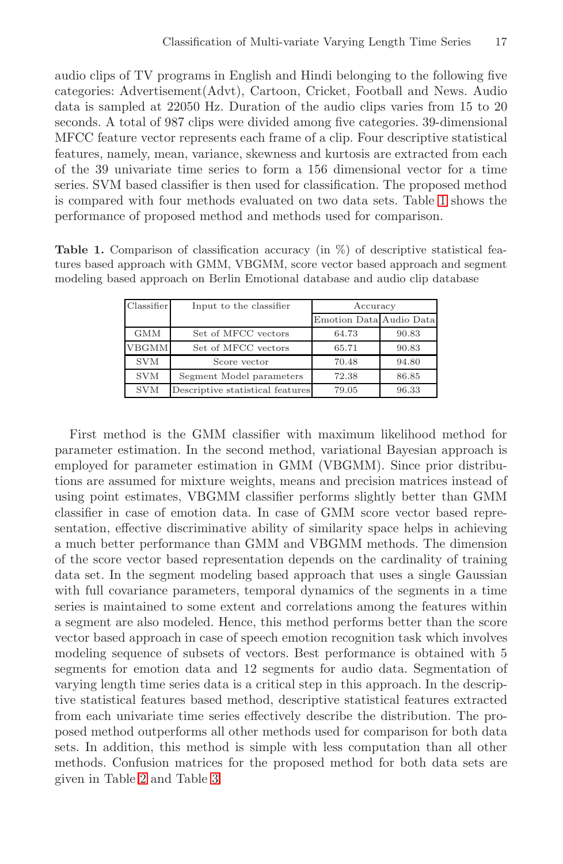<span id="page-4-0"></span>audio clips of TV programs in English and Hind[i b](#page-4-0)elonging to the following five categories: Advertisement(Advt), Cartoon, Cricket, Football and News. Audio data is sampled at 22050 Hz. Duration of the audio clips varies from 15 to 20 seconds. A total of 987 clips were divided among five categories. 39-dimensional MFCC feature vector represents each frame of a clip. Four descriptive statistical features, namely, mean, variance, skewness and kurtosis are extracted from each of the 39 univariate time series to form a 156 dimensional vector for a time series. SVM based classifier is then used for classification. The proposed method is compared with four methods evaluated on two data sets. Table 1 shows the performance of proposed method and methods used for comparison.

**Table 1.** Comparison of classification accuracy (in  $\%$ ) of descriptive statistical features based approach with GMM, VBGMM, score vector based approach and segment modeling based approach on Berlin Emotional database and audio clip database

| Classifier   | Input to the classifier          | Accuracy                |       |  |
|--------------|----------------------------------|-------------------------|-------|--|
|              |                                  | Emotion Data Audio Data |       |  |
| <b>GMM</b>   | Set of MFCC vectors              | 64.73                   | 90.83 |  |
| <b>VBGMM</b> | Set of MFCC vectors              | 65.71                   | 90.83 |  |
| <b>SVM</b>   | Score vector                     | 70.48                   | 94.80 |  |
| <b>SVM</b>   | Segment Model parameters         | 72.38                   | 86.85 |  |
| <b>SVM</b>   | Descriptive statistical features | 79.05                   | 96.33 |  |

First method is the GMM classifier with maximum likelihood method for parameter estimation. In the second method, variational Bayesian approach is employed for parameter estimation in GMM (VBGMM). Since prior distributions are assumed for mixture weights, means and precision matrices instead of using point estimates, VBGMM classifier performs slightly better than GMM classifier in case of emotion data. In case of GMM score vector based representation, effective discriminative ability of similarity space helps in achieving a much better performance than GMM and VBGMM methods. The dimension of the score vector based representation depends on the cardinality of training data set. In the segment modeling based approach that uses a single Gaussian with full covariance parameters, temporal dynamics of the segments in a time series is maintained to some extent and correlations among the features within a segment are also modeled. Hence, this method performs better than the score vector based approach in case of speech emotion recognition task which involves modelin[g](#page-5-5) sequence of subsets of vectors. Best performance is obtained with 5 segments for emotion data and 12 segments for audio data. Segmentation of varying length time series data is a critical step in this approach. In the descriptive statistical features based method, descriptive statistical features extracted from each univariate time series effectively describe the distribution. The proposed method outperforms all other methods used for comparison for both data sets. In addition, this method is simple with less computation than all other methods. Confusion matrices for the proposed method for both data sets are given in Table 2 and Table 3.